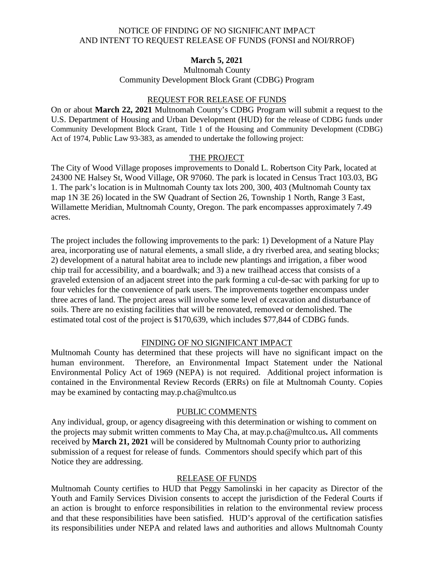#### NOTICE OF FINDING OF NO SIGNIFICANT IMPACT AND INTENT TO REQUEST RELEASE OF FUNDS (FONSI and NOI/RROF)

## **March 5, 2021**

Multnomah County Community Development Block Grant (CDBG) Program

#### REQUEST FOR RELEASE OF FUNDS

On or about **March 22, 2021** Multnomah County's CDBG Program will submit a request to the U.S. Department of Housing and Urban Development (HUD) for the release of CDBG funds under Community Development Block Grant, Title 1 of the Housing and Community Development (CDBG) Act of 1974, Public Law 93-383, as amended to undertake the following project:

#### THE PROJECT

The City of Wood Village proposes improvements to Donald L. Robertson City Park, located at 24300 NE Halsey St, Wood Village, OR 97060. The park is located in Census Tract 103.03, BG 1. The park's location is in Multnomah County tax lots 200, 300, 403 (Multnomah County tax map 1N 3E 26) located in the SW Quadrant of Section 26, Township 1 North, Range 3 East, Willamette Meridian, Multnomah County, Oregon. The park encompasses approximately 7.49 acres.

The project includes the following improvements to the park: 1) Development of a Nature Play area, incorporating use of natural elements, a small slide, a dry riverbed area, and seating blocks; 2) development of a natural habitat area to include new plantings and irrigation, a fiber wood chip trail for accessibility, and a boardwalk; and 3) a new trailhead access that consists of a graveled extension of an adjacent street into the park forming a cul-de-sac with parking for up to four vehicles for the convenience of park users. The improvements together encompass under three acres of land. The project areas will involve some level of excavation and disturbance of soils. There are no existing facilities that will be renovated, removed or demolished. The estimated total cost of the project is \$170,639, which includes \$77,844 of CDBG funds.

## FINDING OF NO SIGNIFICANT IMPACT

Multnomah County has determined that these projects will have no significant impact on the human environment. Therefore, an Environmental Impact Statement under the National Environmental Policy Act of 1969 (NEPA) is not required. Additional project information is contained in the Environmental Review Records (ERRs) on file at Multnomah County. Copies may be examined by contacting may.p.cha@multco.us

## PUBLIC COMMENTS

Any individual, group, or agency disagreeing with this determination or wishing to comment on the projects may submit written comments to May Cha, at may.p.cha@multco.us**.** All comments received by **March 21, 2021** will be considered by Multnomah County prior to authorizing submission of a request for release of funds. Commentors should specify which part of this Notice they are addressing.

## RELEASE OF FUNDS

Multnomah County certifies to HUD that Peggy Samolinski in her capacity as Director of the Youth and Family Services Division consents to accept the jurisdiction of the Federal Courts if an action is brought to enforce responsibilities in relation to the environmental review process and that these responsibilities have been satisfied. HUD's approval of the certification satisfies its responsibilities under NEPA and related laws and authorities and allows Multnomah County